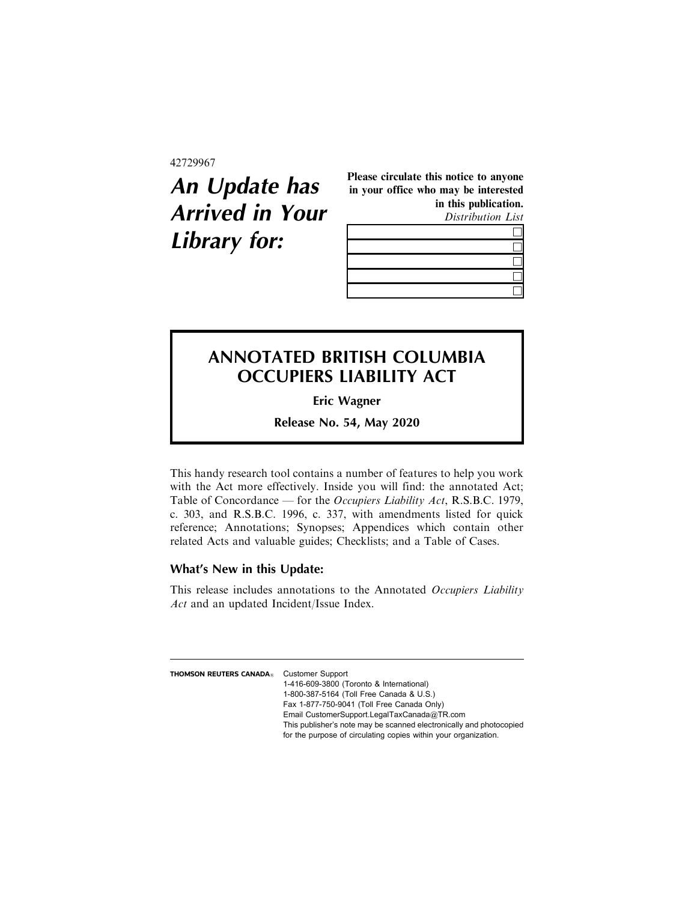42729967

## **An Update has Arrived in Your Library for:**

Please circulate this notice to anyone in your office who may be interested in this publication.

Distribution List

## **ANNOTATED BRITISH COLUMBIA OCCUPIERS LIABILITY ACT**

**Eric Wagner**

**Release No. 54, May 2020**

This handy research tool contains a number of features to help you work with the Act more effectively. Inside you will find: the annotated Act; Table of Concordance — for the Occupiers Liability Act, R.S.B.C. 1979, c. 303, and R.S.B.C. 1996, c. 337, with amendments listed for quick reference; Annotations; Synopses; Appendices which contain other related Acts and valuable guides; Checklists; and a Table of Cases.

## **What's New in this Update:**

This release includes annotations to the Annotated Occupiers Liability Act and an updated Incident/Issue Index.

**THOMSON REUTERS CANADA**<sup>2</sup> Customer Support 1-416-609-3800 (Toronto & International) 1-800-387-5164 (Toll Free Canada & U.S.) Fax 1-877-750-9041 (Toll Free Canada Only) Email CustomerSupport.LegalTaxCanada@TR.com This publisher's note may be scanned electronically and photocopied for the purpose of circulating copies within your organization.